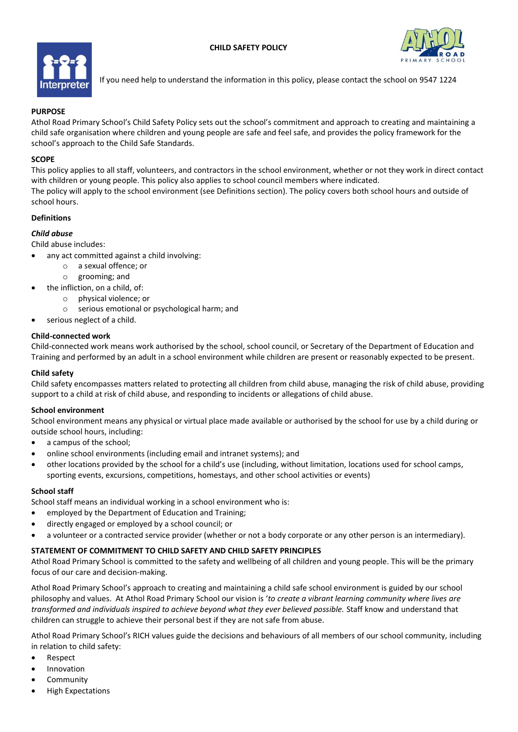



If you need help to understand the information in this policy, please contact the school on 9547 1224

## **PURPOSE**

Athol Road Primary School's Child Safety Policy sets out the school's commitment and approach to creating and maintaining a child safe organisation where children and young people are safe and feel safe, and provides the policy framework for the school's approach to the Child Safe Standards.

#### **SCOPE**

This policy applies to all staff, volunteers, and contractors in the school environment, whether or not they work in direct contact with children or young people. This policy also applies to school council members where indicated. The policy will apply to the school environment (see Definitions section). The policy covers both school hours and outside of school hours.

# **Definitions**

# *Child abuse*

Child abuse includes:

- any act committed against a child involving:
	- o a sexual offence; or
	- o grooming; and
- the infliction, on a child, of:
	- o physical violence; or
		- o serious emotional or psychological harm; and
- serious neglect of a child.

## **Child-connected work**

Child-connected work means work authorised by the school, school council, or Secretary of the Department of Education and Training and performed by an adult in a school environment while children are present or reasonably expected to be present.

#### **Child safety**

Child safety encompasses matters related to protecting all children from child abuse, managing the risk of child abuse, providing support to a child at risk of child abuse, and responding to incidents or allegations of child abuse.

#### **School environment**

School environment means any physical or virtual place made available or authorised by the school for use by a child during or outside school hours, including:

- a campus of the school;
- online school environments (including email and intranet systems); and
- other locations provided by the school for a child's use (including, without limitation, locations used for school camps, sporting events, excursions, competitions, homestays, and other school activities or events)

#### **School staff**

School staff means an individual working in a school environment who is:

- employed by the Department of Education and Training;
- directly engaged or employed by a school council; or
- a volunteer or a contracted service provider (whether or not a body corporate or any other person is an intermediary).

## **STATEMENT OF COMMITMENT TO CHILD SAFETY AND CHILD SAFETY PRINCIPLES**

Athol Road Primary School is committed to the safety and wellbeing of all children and young people. This will be the primary focus of our care and decision-making.

Athol Road Primary School's approach to creating and maintaining a child safe school environment is guided by our school philosophy and values. At Athol Road Primary School our vision is '*to create a vibrant learning community where lives are transformed and individuals inspired to achieve beyond what they ever believed possible.* Staff know and understand that children can struggle to achieve their personal best if they are not safe from abuse.

Athol Road Primary School's RICH values guide the decisions and behaviours of all members of our school community, including in relation to child safety:

- Respect
- **Innovation**
- **Community**
- High Expectations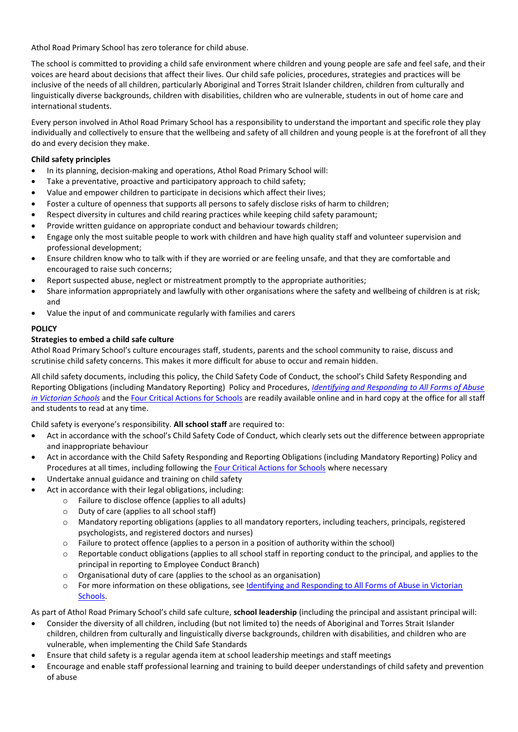Athol Road Primary School has zero tolerance for child abuse.

The school is committed to providing a child safe environment where children and young people are safe and feel safe, and their voices are heard about decisions that affect their lives. Our child safe policies, procedures, strategies and practices will be inclusive of the needs of all children, particularly Aboriginal and Torres Strait Islander children, children from culturally and linguistically diverse backgrounds, children with disabilities, children who are vulnerable, students in out of home care and international students.

Every person involved in Athol Road Primary School has a responsibility to understand the important and specific role they play individually and collectively to ensure that the wellbeing and safety of all children and young people is at the forefront of all they do and every decision they make.

## **Child safety principles**

- In its planning, decision-making and operations, Athol Road Primary School will:
- Take a preventative, proactive and participatory approach to child safety;
- Value and empower children to participate in decisions which affect their lives;
- Foster a culture of openness that supports all persons to safely disclose risks of harm to children;
- Respect diversity in cultures and child rearing practices while keeping child safety paramount;
- Provide written guidance on appropriate conduct and behaviour towards children;
- Engage only the most suitable people to work with children and have high quality staff and volunteer supervision and professional development;
- Ensure children know who to talk with if they are worried or are feeling unsafe, and that they are comfortable and encouraged to raise such concerns;
- Report suspected abuse, neglect or mistreatment promptly to the appropriate authorities;
- Share information appropriately and lawfully with other organisations where the safety and wellbeing of children is at risk; and
- Value the input of and communicate regularly with families and carers

# **POLICY**

# **Strategies to embed a child safe culture**

Athol Road Primary School's culture encourages staff, students, parents and the school community to raise, discuss and scrutinise child safety concerns. This makes it more difficult for abuse to occur and remain hidden.

All child safety documents, including this policy, the Child Safety Code of Conduct, the school's Child Safety Responding and Reporting Obligations (including Mandatory Reporting) Policy and Procedures, *[Identifying and Responding to All Forms of Abuse](https://www.education.vic.gov.au/Documents/about/programs/health/protect/ChildSafeStandard5_SchoolsGuide.pdf)  [in Victorian Schools](https://www.education.vic.gov.au/Documents/about/programs/health/protect/ChildSafeStandard5_SchoolsGuide.pdf)* and th[e Four Critical Actions for Schools](https://www.education.vic.gov.au/Documents/about/programs/health/protect/FourCriticalActions_ChildAbuse.pdf) are readily available online and in hard copy at the office for all staff and students to read at any time.

Child safety is everyone's responsibility. **All school staff** are required to:

- Act in accordance with the school's Child Safety Code of Conduct, which clearly sets out the difference between appropriate and inappropriate behaviour
- Act in accordance with the Child Safety Responding and Reporting Obligations (including Mandatory Reporting) Policy and Procedures at all times, including following the [Four Critical Actions for Schools](https://www.education.vic.gov.au/Documents/about/programs/health/protect/FourCriticalActions_ChildAbuse.pdf) where necessary
- Undertake annual guidance and training on child safety
- Act in accordance with their legal obligations, including:
	- o Failure to disclose offence (applies to all adults)
		- o Duty of care (applies to all school staff)
		- o Mandatory reporting obligations (applies to all mandatory reporters, including teachers, principals, registered psychologists, and registered doctors and nurses)
		- o Failure to protect offence (applies to a person in a position of authority within the school)
		- $\circ$  Reportable conduct obligations (applies to all school staff in reporting conduct to the principal, and applies to the principal in reporting to Employee Conduct Branch)
		- o Organisational duty of care (applies to the school as an organisation)
		- o For more information on these obligations, see [Identifying and Responding to All Forms of Abuse in Victorian](https://www.education.vic.gov.au/Documents/about/programs/health/protect/ChildSafeStandard5_SchoolsGuide.pdf)  [Schools.](https://www.education.vic.gov.au/Documents/about/programs/health/protect/ChildSafeStandard5_SchoolsGuide.pdf)

As part of Athol Road Primary School's child safe culture, **school leadership** (including the principal and assistant principal will:

- Consider the diversity of all children, including (but not limited to) the needs of Aboriginal and Torres Strait Islander children, children from culturally and linguistically diverse backgrounds, children with disabilities, and children who are vulnerable, when implementing the Child Safe Standards
- Ensure that child safety is a regular agenda item at school leadership meetings and staff meetings
- Encourage and enable staff professional learning and training to build deeper understandings of child safety and prevention of abuse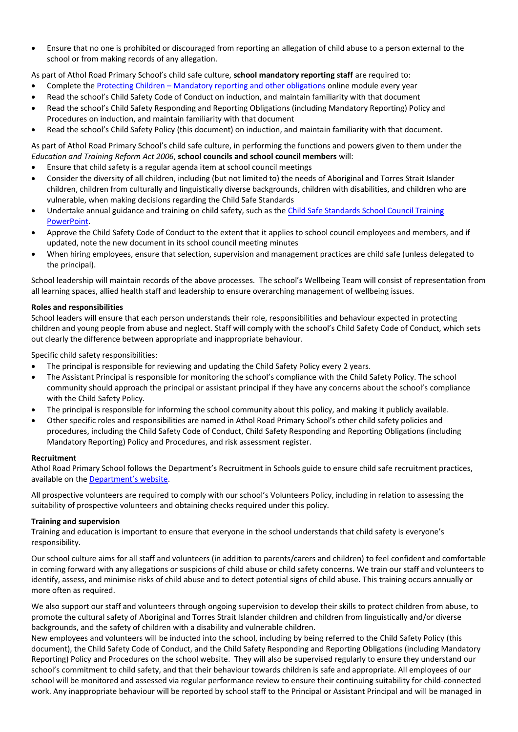• Ensure that no one is prohibited or discouraged from reporting an allegation of child abuse to a person external to the school or from making records of any allegation.

As part of Athol Road Primary School's child safe culture, **school mandatory reporting staff** are required to:

- Complete the Protecting Children [Mandatory reporting and other obligations](http://elearn.com.au/det/protectingchildren/) online module every year
- Read the school's Child Safety Code of Conduct on induction, and maintain familiarity with that document
- Read the school's Child Safety Responding and Reporting Obligations (including Mandatory Reporting) Policy and Procedures on induction, and maintain familiarity with that document
- Read the school's Child Safety Policy (this document) on induction, and maintain familiarity with that document.

## As part of Athol Road Primary School's child safe culture, in performing the functions and powers given to them under the *Education and Training Reform Act 2006*, **school councils and school council members** will:

- Ensure that child safety is a regular agenda item at school council meetings
- Consider the diversity of all children, including (but not limited to) the needs of Aboriginal and Torres Strait Islander children, children from culturally and linguistically diverse backgrounds, children with disabilities, and children who are vulnerable, when making decisions regarding the Child Safe Standards
- Undertake annual guidance and training on child safety, such as the Child [Safe Standards School Council Training](https://www.education.vic.gov.au/Documents/about/programs/health/protect/school-council-training.pptx)  [PowerPoint.](https://www.education.vic.gov.au/Documents/about/programs/health/protect/school-council-training.pptx)
- Approve the Child Safety Code of Conduct to the extent that it applies to school council employees and members, and if updated, note the new document in its school council meeting minutes
- When hiring employees, ensure that selection, supervision and management practices are child safe (unless delegated to the principal).

School leadership will maintain records of the above processes. The school's Wellbeing Team will consist of representation from all learning spaces, allied health staff and leadership to ensure overarching management of wellbeing issues.

## **Roles and responsibilities**

School leaders will ensure that each person understands their role, responsibilities and behaviour expected in protecting children and young people from abuse and neglect. Staff will comply with the school's Child Safety Code of Conduct, which sets out clearly the difference between appropriate and inappropriate behaviour.

Specific child safety responsibilities:

- The principal is responsible for reviewing and updating the Child Safety Policy every 2 years.
- The Assistant Principal is responsible for monitoring the school's compliance with the Child Safety Policy. The school community should approach the principal or assistant principal if they have any concerns about the school's compliance with the Child Safety Policy.
- The principal is responsible for informing the school community about this policy, and making it publicly available.
- Other specific roles and responsibilities are named in Athol Road Primary School's other child safety policies and procedures, including the Child Safety Code of Conduct, Child Safety Responding and Reporting Obligations (including Mandatory Reporting) Policy and Procedures, and risk assessment register.

#### **Recruitment**

Athol Road Primary School follows the Department's Recruitment in Schools guide to ensure child safe recruitment practices, available on the [Department's website](https://www.education.vic.gov.au/hrweb/careers/Pages/recruitinsch.aspx).

All prospective volunteers are required to comply with our school's Volunteers Policy, including in relation to assessing the suitability of prospective volunteers and obtaining checks required under this policy.

#### **Training and supervision**

Training and education is important to ensure that everyone in the school understands that child safety is everyone's responsibility.

Our school culture aims for all staff and volunteers (in addition to parents/carers and children) to feel confident and comfortable in coming forward with any allegations or suspicions of child abuse or child safety concerns. We train our staff and volunteers to identify, assess, and minimise risks of child abuse and to detect potential signs of child abuse. This training occurs annually or more often as required.

We also support our staff and volunteers through ongoing supervision to develop their skills to protect children from abuse, to promote the cultural safety of Aboriginal and Torres Strait Islander children and children from linguistically and/or diverse backgrounds, and the safety of children with a disability and vulnerable children.

New employees and volunteers will be inducted into the school, including by being referred to the Child Safety Policy (this document), the Child Safety Code of Conduct, and the Child Safety Responding and Reporting Obligations (including Mandatory Reporting) Policy and Procedures on the school website. They will also be supervised regularly to ensure they understand our school's commitment to child safety, and that their behaviour towards children is safe and appropriate. All employees of our school will be monitored and assessed via regular performance review to ensure their continuing suitability for child-connected work. Any inappropriate behaviour will be reported by school staff to the Principal or Assistant Principal and will be managed in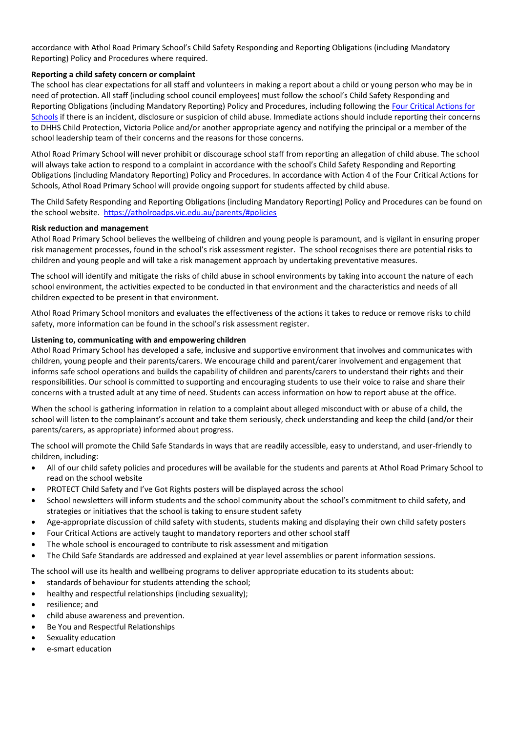accordance with Athol Road Primary School's Child Safety Responding and Reporting Obligations (including Mandatory Reporting) Policy and Procedures where required.

## **Reporting a child safety concern or complaint**

The school has clear expectations for all staff and volunteers in making a report about a child or young person who may be in need of protection. All staff (including school council employees) must follow the school's Child Safety Responding and Reporting Obligations (including Mandatory Reporting) Policy and Procedures, including following th[e Four Critical Actions for](https://www.education.vic.gov.au/Documents/about/programs/health/protect/FourCriticalActions_ChildAbuse.pdf)  [Schools](https://www.education.vic.gov.au/Documents/about/programs/health/protect/FourCriticalActions_ChildAbuse.pdf) if there is an incident, disclosure or suspicion of child abuse. Immediate actions should include reporting their concerns to DHHS Child Protection, Victoria Police and/or another appropriate agency and notifying the principal or a member of the school leadership team of their concerns and the reasons for those concerns.

Athol Road Primary School will never prohibit or discourage school staff from reporting an allegation of child abuse. The school will always take action to respond to a complaint in accordance with the school's Child Safety Responding and Reporting Obligations (including Mandatory Reporting) Policy and Procedures. In accordance with Action 4 of the Four Critical Actions for Schools, Athol Road Primary School will provide ongoing support for students affected by child abuse.

The Child Safety Responding and Reporting Obligations (including Mandatory Reporting) Policy and Procedures can be found on the school website.<https://atholroadps.vic.edu.au/parents/#policies>

## **Risk reduction and management**

Athol Road Primary School believes the wellbeing of children and young people is paramount, and is vigilant in ensuring proper risk management processes, found in the school's risk assessment register. The school recognises there are potential risks to children and young people and will take a risk management approach by undertaking preventative measures.

The school will identify and mitigate the risks of child abuse in school environments by taking into account the nature of each school environment, the activities expected to be conducted in that environment and the characteristics and needs of all children expected to be present in that environment.

Athol Road Primary School monitors and evaluates the effectiveness of the actions it takes to reduce or remove risks to child safety, more information can be found in the school's risk assessment register.

#### **Listening to, communicating with and empowering children**

Athol Road Primary School has developed a safe, inclusive and supportive environment that involves and communicates with children, young people and their parents/carers. We encourage child and parent/carer involvement and engagement that informs safe school operations and builds the capability of children and parents/carers to understand their rights and their responsibilities. Our school is committed to supporting and encouraging students to use their voice to raise and share their concerns with a trusted adult at any time of need. Students can access information on how to report abuse at the office.

When the school is gathering information in relation to a complaint about alleged misconduct with or abuse of a child, the school will listen to the complainant's account and take them seriously, check understanding and keep the child (and/or their parents/carers, as appropriate) informed about progress.

The school will promote the Child Safe Standards in ways that are readily accessible, easy to understand, and user-friendly to children, including:

- All of our child safety policies and procedures will be available for the students and parents at Athol Road Primary School to read on the school website
- PROTECT Child Safety and I've Got Rights posters will be displayed across the school
- School newsletters will inform students and the school community about the school's commitment to child safety, and strategies or initiatives that the school is taking to ensure student safety
- Age-appropriate discussion of child safety with students, students making and displaying their own child safety posters
- Four Critical Actions are actively taught to mandatory reporters and other school staff
- The whole school is encouraged to contribute to risk assessment and mitigation
- The Child Safe Standards are addressed and explained at year level assemblies or parent information sessions.

The school will use its health and wellbeing programs to deliver appropriate education to its students about:

- standards of behaviour for students attending the school;
- healthy and respectful relationships (including sexuality);
- resilience; and
- child abuse awareness and prevention.
- Be You and Respectful Relationships
- Sexuality education
- e-smart education